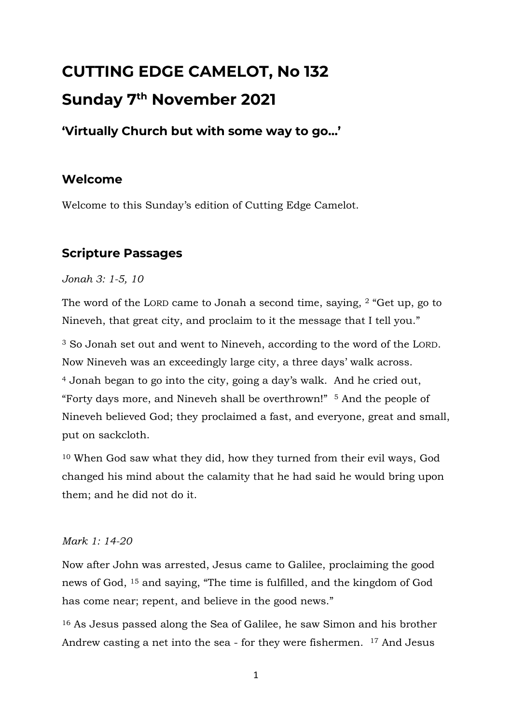# **CUTTING EDGE CAMELOT, No 132 Sunday 7 th November 2021**

# **'Virtually Church but with some way to go…'**

# **Welcome**

Welcome to this Sunday's edition of Cutting Edge Camelot.

# **Scripture Passages**

#### *Jonah 3: 1-5, 10*

The word of the LORD came to Jonah a second time, saying, <sup>2</sup> "Get up, go to Nineveh, that great city, and proclaim to it the message that I tell you."

<sup>3</sup> So Jonah set out and went to Nineveh, according to the word of the LORD. Now Nineveh was an exceedingly large city, a three days' walk across. <sup>4</sup> Jonah began to go into the city, going a day's walk. And he cried out, "Forty days more, and Nineveh shall be overthrown!" <sup>5</sup> And the people of Nineveh believed God; they proclaimed a fast, and everyone, great and small, put on sackcloth.

<sup>10</sup> When God saw what they did, how they turned from their evil ways, God changed his mind about the calamity that he had said he would bring upon them; and he did not do it.

#### *Mark 1: 14-20*

Now after John was arrested, Jesus came to Galilee, proclaiming the good news of God, <sup>15</sup> and saying, "The time is fulfilled, and the kingdom of God has come near; repent, and believe in the good news."

<sup>16</sup> As Jesus passed along the Sea of Galilee, he saw Simon and his brother Andrew casting a net into the sea - for they were fishermen. <sup>17</sup> And Jesus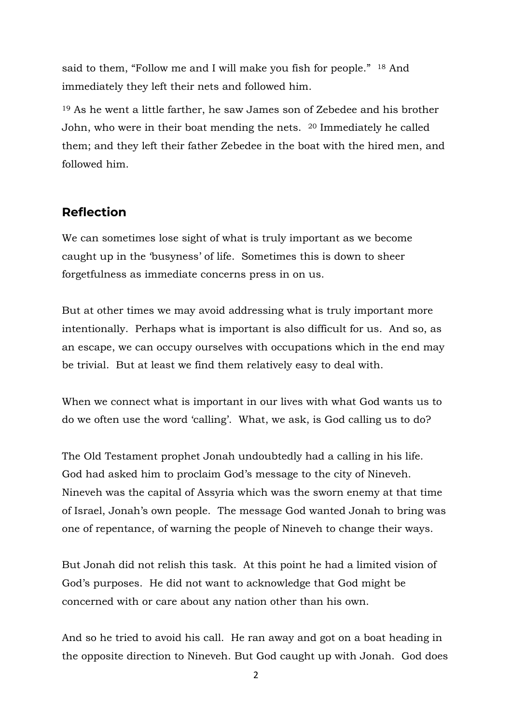said to them, "Follow me and I will make you fish for people." <sup>18</sup> And immediately they left their nets and followed him.

<sup>19</sup> As he went a little farther, he saw James son of Zebedee and his brother John, who were in their boat mending the nets. <sup>20</sup> Immediately he called them; and they left their father Zebedee in the boat with the hired men, and followed him.

### **Reflection**

We can sometimes lose sight of what is truly important as we become caught up in the 'busyness' of life. Sometimes this is down to sheer forgetfulness as immediate concerns press in on us.

But at other times we may avoid addressing what is truly important more intentionally. Perhaps what is important is also difficult for us. And so, as an escape, we can occupy ourselves with occupations which in the end may be trivial. But at least we find them relatively easy to deal with.

When we connect what is important in our lives with what God wants us to do we often use the word 'calling'. What, we ask, is God calling us to do?

The Old Testament prophet Jonah undoubtedly had a calling in his life. God had asked him to proclaim God's message to the city of Nineveh. Nineveh was the capital of Assyria which was the sworn enemy at that time of Israel, Jonah's own people. The message God wanted Jonah to bring was one of repentance, of warning the people of Nineveh to change their ways.

But Jonah did not relish this task. At this point he had a limited vision of God's purposes. He did not want to acknowledge that God might be concerned with or care about any nation other than his own.

And so he tried to avoid his call. He ran away and got on a boat heading in the opposite direction to Nineveh. But God caught up with Jonah. God does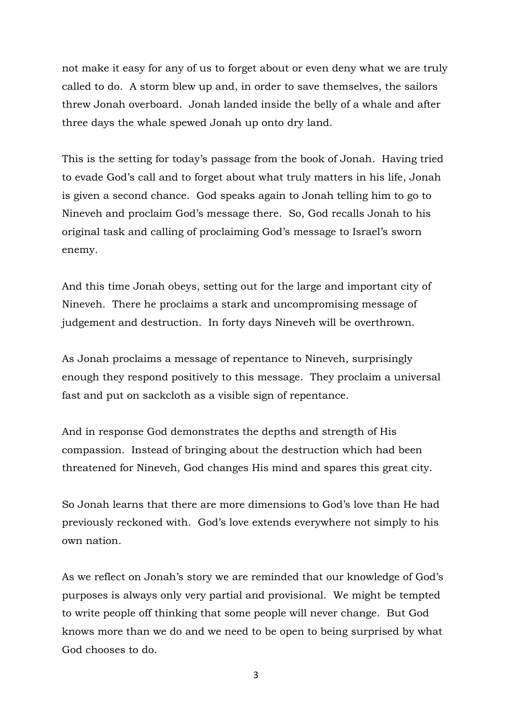not make it easy for any of us to forget about or even deny what we are truly called to do. A storm blew up and, in order to save themselves, the sailors threw Jonah overboard. Jonah landed inside the belly of a whale and after three days the whale spewed Jonah up onto dry land.

This is the setting for today's passage from the book of Jonah. Having tried to evade God's call and to forget about what truly matters in his life, Jonah is given a second chance. God speaks again to Jonah telling him to go to Nineveh and proclaim God's message there. So, God recalls Jonah to his original task and calling of proclaiming God's message to Israel's sworn enemy.

And this time Jonah obeys, setting out for the large and important city of Nineveh. There he proclaims a stark and uncompromising message of judgement and destruction. In forty days Nineveh will be overthrown.

As Jonah proclaims a message of repentance to Nineveh, surprisingly enough they respond positively to this message. They proclaim a universal fast and put on sackcloth as a visible sign of repentance.

And in response God demonstrates the depths and strength of His compassion. Instead of bringing about the destruction which had been threatened for Nineveh, God changes His mind and spares this great city.

So Jonah learns that there are more dimensions to God's love than He had previously reckoned with. God's love extends everywhere not simply to his own nation.

As we reflect on Jonah's story we are reminded that our knowledge of God's purposes is always only very partial and provisional. We might be tempted to write people off thinking that some people will never change. But God knows more than we do and we need to be open to being surprised by what God chooses to do.

3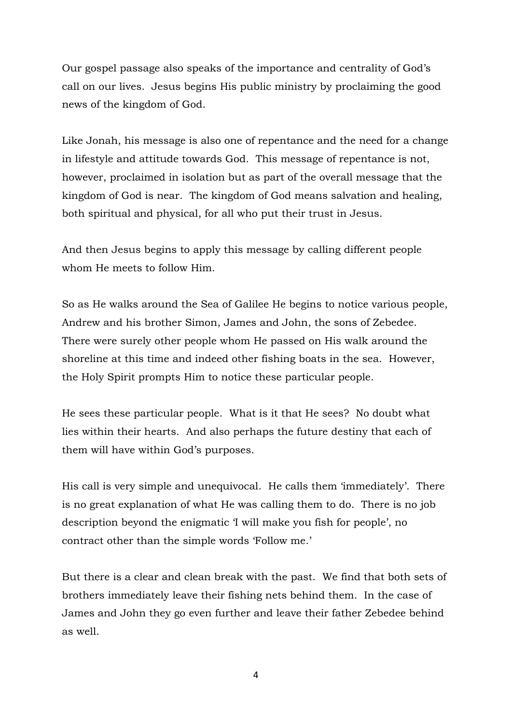Our gospel passage also speaks of the importance and centrality of God's call on our lives. Jesus begins His public ministry by proclaiming the good news of the kingdom of God.

Like Jonah, his message is also one of repentance and the need for a change in lifestyle and attitude towards God. This message of repentance is not, however, proclaimed in isolation but as part of the overall message that the kingdom of God is near. The kingdom of God means salvation and healing, both spiritual and physical, for all who put their trust in Jesus.

And then Jesus begins to apply this message by calling different people whom He meets to follow Him.

So as He walks around the Sea of Galilee He begins to notice various people, Andrew and his brother Simon, James and John, the sons of Zebedee. There were surely other people whom He passed on His walk around the shoreline at this time and indeed other fishing boats in the sea. However, the Holy Spirit prompts Him to notice these particular people.

He sees these particular people. What is it that He sees? No doubt what lies within their hearts. And also perhaps the future destiny that each of them will have within God's purposes.

His call is very simple and unequivocal. He calls them 'immediately'. There is no great explanation of what He was calling them to do. There is no job description beyond the enigmatic 'I will make you fish for people', no contract other than the simple words 'Follow me.'

But there is a clear and clean break with the past. We find that both sets of brothers immediately leave their fishing nets behind them. In the case of James and John they go even further and leave their father Zebedee behind as well.

4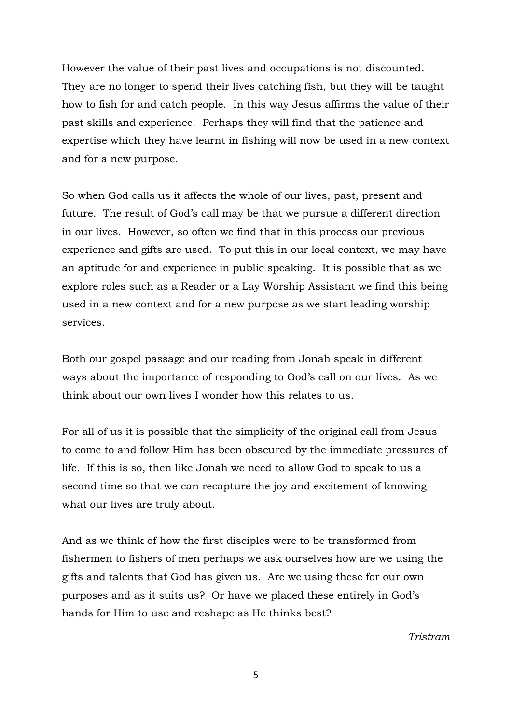However the value of their past lives and occupations is not discounted. They are no longer to spend their lives catching fish, but they will be taught how to fish for and catch people. In this way Jesus affirms the value of their past skills and experience. Perhaps they will find that the patience and expertise which they have learnt in fishing will now be used in a new context and for a new purpose.

So when God calls us it affects the whole of our lives, past, present and future. The result of God's call may be that we pursue a different direction in our lives. However, so often we find that in this process our previous experience and gifts are used. To put this in our local context, we may have an aptitude for and experience in public speaking. It is possible that as we explore roles such as a Reader or a Lay Worship Assistant we find this being used in a new context and for a new purpose as we start leading worship services.

Both our gospel passage and our reading from Jonah speak in different ways about the importance of responding to God's call on our lives. As we think about our own lives I wonder how this relates to us.

For all of us it is possible that the simplicity of the original call from Jesus to come to and follow Him has been obscured by the immediate pressures of life. If this is so, then like Jonah we need to allow God to speak to us a second time so that we can recapture the joy and excitement of knowing what our lives are truly about.

And as we think of how the first disciples were to be transformed from fishermen to fishers of men perhaps we ask ourselves how are we using the gifts and talents that God has given us. Are we using these for our own purposes and as it suits us? Or have we placed these entirely in God's hands for Him to use and reshape as He thinks best?

*Tristram*

5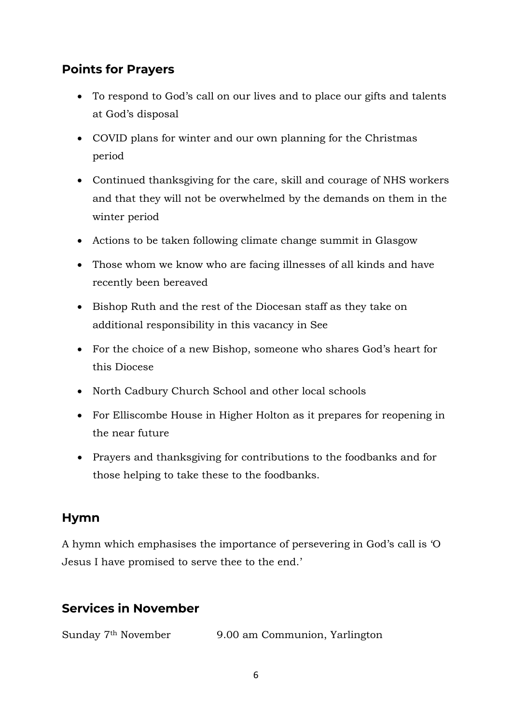# **Points for Prayers**

- To respond to God's call on our lives and to place our gifts and talents at God's disposal
- COVID plans for winter and our own planning for the Christmas period
- Continued thanksgiving for the care, skill and courage of NHS workers and that they will not be overwhelmed by the demands on them in the winter period
- Actions to be taken following climate change summit in Glasgow
- Those whom we know who are facing illnesses of all kinds and have recently been bereaved
- Bishop Ruth and the rest of the Diocesan staff as they take on additional responsibility in this vacancy in See
- For the choice of a new Bishop, someone who shares God's heart for this Diocese
- North Cadbury Church School and other local schools
- For Elliscombe House in Higher Holton as it prepares for reopening in the near future
- Prayers and thanksgiving for contributions to the foodbanks and for those helping to take these to the foodbanks.

### **Hymn**

A hymn which emphasises the importance of persevering in God's call is 'O Jesus I have promised to serve thee to the end.'

# **Services in November**

Sunday 7th November 9.00 am Communion, Yarlington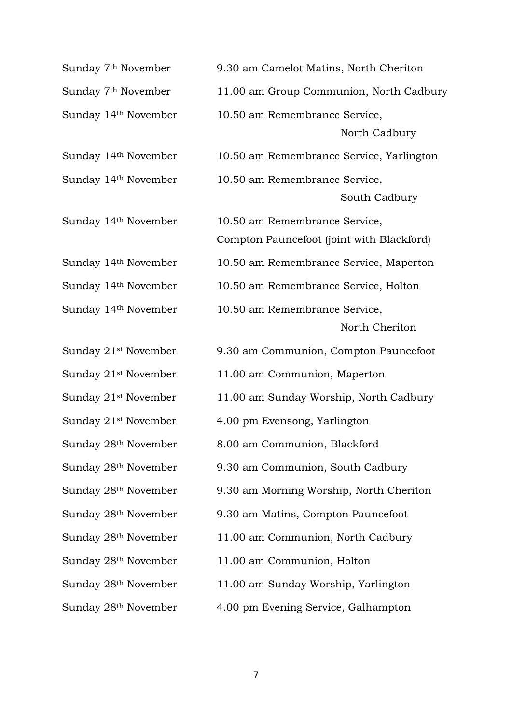| Sunday 7 <sup>th</sup> November  | 9.30 am Camelot Matins, North Cheriton                                     |
|----------------------------------|----------------------------------------------------------------------------|
| Sunday 7 <sup>th</sup> November  | 11.00 am Group Communion, North Cadbury                                    |
| Sunday 14th November             | 10.50 am Remembrance Service,<br>North Cadbury                             |
| Sunday 14th November             | 10.50 am Remembrance Service, Yarlington                                   |
| Sunday 14th November             | 10.50 am Remembrance Service,<br>South Cadbury                             |
| Sunday 14th November             | 10.50 am Remembrance Service,<br>Compton Pauncefoot (joint with Blackford) |
| Sunday 14th November             | 10.50 am Remembrance Service, Maperton                                     |
| Sunday 14th November             | 10.50 am Remembrance Service, Holton                                       |
| Sunday 14th November             | 10.50 am Remembrance Service,<br>North Cheriton                            |
| Sunday 21 <sup>st</sup> November | 9.30 am Communion, Compton Pauncefoot                                      |
| Sunday 21 <sup>st</sup> November | 11.00 am Communion, Maperton                                               |
| Sunday 21 <sup>st</sup> November | 11.00 am Sunday Worship, North Cadbury                                     |
| Sunday 21 <sup>st</sup> November | 4.00 pm Evensong, Yarlington                                               |
| Sunday 28 <sup>th</sup> November | 8.00 am Communion, Blackford                                               |
| Sunday 28 <sup>th</sup> November | 9.30 am Communion, South Cadbury                                           |
| Sunday 28 <sup>th</sup> November | 9.30 am Morning Worship, North Cheriton                                    |
| Sunday 28th November             | 9.30 am Matins, Compton Pauncefoot                                         |
| Sunday 28 <sup>th</sup> November | 11.00 am Communion, North Cadbury                                          |
| Sunday 28 <sup>th</sup> November | 11.00 am Communion, Holton                                                 |
| Sunday 28 <sup>th</sup> November | 11.00 am Sunday Worship, Yarlington                                        |
| Sunday 28th November             | 4.00 pm Evening Service, Galhampton                                        |